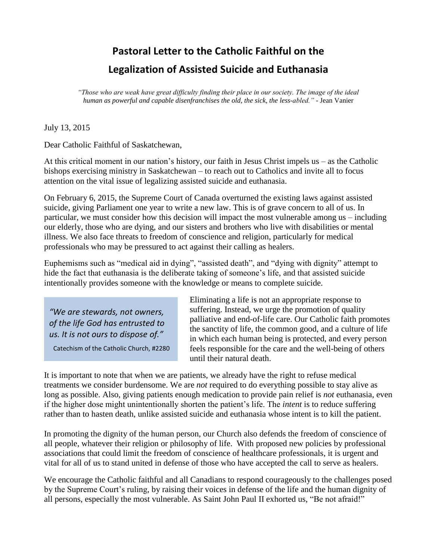## **Pastoral Letter to the Catholic Faithful on the Legalization of Assisted Suicide and Euthanasia**

*"Those who are weak have great difficulty finding their place in our society. The image of the ideal human as powerful and capable disenfranchises the old, the sick, the less-abled."* - Jean Vanier

## July 13, 2015

Dear Catholic Faithful of Saskatchewan,

At this critical moment in our nation's history, our faith in Jesus Christ impels us – as the Catholic bishops exercising ministry in Saskatchewan – to reach out to Catholics and invite all to focus attention on the vital issue of legalizing assisted suicide and euthanasia.

On February 6, 2015, the Supreme Court of Canada overturned the existing laws against assisted suicide, giving Parliament one year to write a new law. This is of grave concern to all of us. In particular, we must consider how this decision will impact the most vulnerable among us – including our elderly, those who are dying, and our sisters and brothers who live with disabilities or mental illness. We also face threats to freedom of conscience and religion, particularly for medical professionals who may be pressured to act against their calling as healers.

Euphemisms such as "medical aid in dying", "assisted death", and "dying with dignity" attempt to hide the fact that euthanasia is the deliberate taking of someone's life, and that assisted suicide intentionally provides someone with the knowledge or means to complete suicide.

*"We are stewards, not owners, of the life God has entrusted to us. It is not ours to dispose of."*

Catechism of the Catholic Church, #2280

Eliminating a life is not an appropriate response to suffering. Instead, we urge the promotion of quality palliative and end-of-life care. Our Catholic faith promotes the sanctity of life, the common good, and a culture of life in which each human being is protected, and every person feels responsible for the care and the well-being of others until their natural death.

It is important to note that when we are patients, we already have the right to refuse medical treatments we consider burdensome. We are *not* required to do everything possible to stay alive as long as possible. Also, giving patients enough medication to provide pain relief is *not* euthanasia, even if the higher dose might unintentionally shorten the patient's life. The *intent* is to reduce suffering rather than to hasten death, unlike assisted suicide and euthanasia whose intent is to kill the patient.

In promoting the dignity of the human person, our Church also defends the freedom of conscience of all people, whatever their religion or philosophy of life. With proposed new policies by professional associations that could limit the freedom of conscience of healthcare professionals, it is urgent and vital for all of us to stand united in defense of those who have accepted the call to serve as healers.

We encourage the Catholic faithful and all Canadians to respond courageously to the challenges posed by the Supreme Court's ruling, by raising their voices in defense of the life and the human dignity of all persons, especially the most vulnerable. As Saint John Paul II exhorted us, "Be not afraid!"